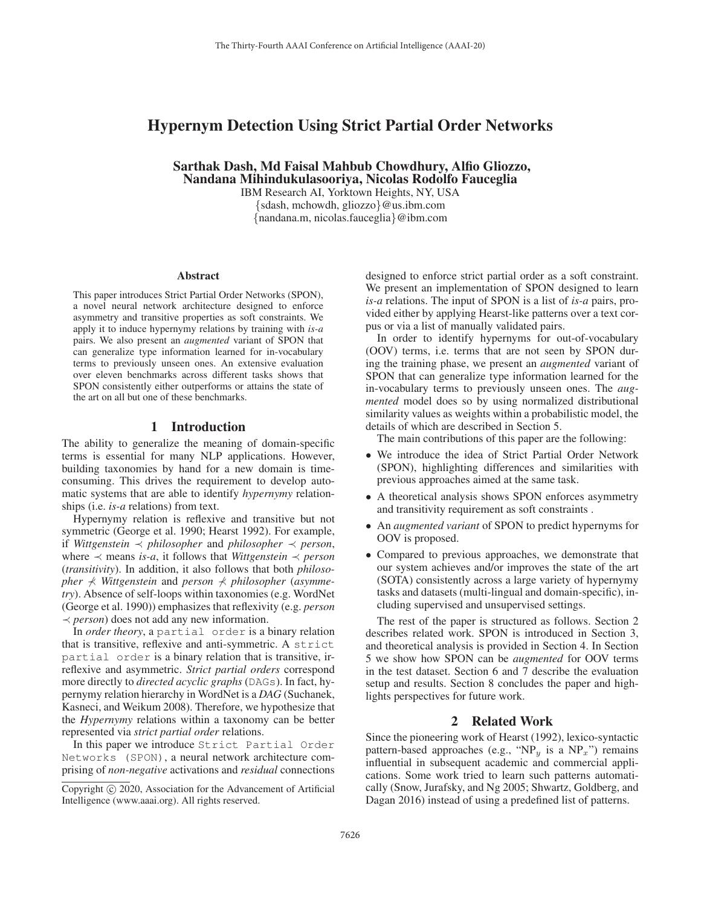# Hypernym Detection Using Strict Partial Order Networks

Sarthak Dash, Md Faisal Mahbub Chowdhury, Alfio Gliozzo, Nandana Mihindukulasooriya, Nicolas Rodolfo Fauceglia

IBM Research AI, Yorktown Heights, NY, USA {sdash, mchowdh, gliozzo}@us.ibm.com {nandana.m, nicolas.fauceglia}@ibm.com

#### Abstract

This paper introduces Strict Partial Order Networks (SPON), a novel neural network architecture designed to enforce asymmetry and transitive properties as soft constraints. We apply it to induce hypernymy relations by training with *is-a* pairs. We also present an *augmented* variant of SPON that can generalize type information learned for in-vocabulary terms to previously unseen ones. An extensive evaluation over eleven benchmarks across different tasks shows that SPON consistently either outperforms or attains the state of the art on all but one of these benchmarks.

### 1 Introduction

The ability to generalize the meaning of domain-specific terms is essential for many NLP applications. However, building taxonomies by hand for a new domain is timeconsuming. This drives the requirement to develop automatic systems that are able to identify *hypernymy* relationships (i.e. *is-a* relations) from text.

Hypernymy relation is reflexive and transitive but not symmetric (George et al. 1990; Hearst 1992). For example, if *Wittgenstein* ≺ *philosopher* and *philosopher* ≺ *person*, where ≺ means *is-a*, it follows that *Wittgenstein* ≺ *person* (*transitivity*). In addition, it also follows that both *philosopher* ⊀ *Wittgenstein* and *person* ⊀ *philosopher* (*asymmetry*). Absence of self-loops within taxonomies (e.g. WordNet (George et al. 1990)) emphasizes that reflexivity (e.g. *person* ≺ *person*) does not add any new information.

In *order theory*, a partial order is a binary relation that is transitive, reflexive and anti-symmetric. A strict partial order is a binary relation that is transitive, irreflexive and asymmetric. *Strict partial orders* correspond more directly to *directed acyclic graphs* (DAGs). In fact, hypernymy relation hierarchy in WordNet is a *DAG* (Suchanek, Kasneci, and Weikum 2008). Therefore, we hypothesize that the *Hypernymy* relations within a taxonomy can be better represented via *strict partial order* relations.

In this paper we introduce Strict Partial Order Networks (SPON), a neural network architecture comprising of *non-negative* activations and *residual* connections

designed to enforce strict partial order as a soft constraint. We present an implementation of SPON designed to learn *is-a* relations. The input of SPON is a list of *is-a* pairs, provided either by applying Hearst-like patterns over a text corpus or via a list of manually validated pairs.

In order to identify hypernyms for out-of-vocabulary (OOV) terms, i.e. terms that are not seen by SPON during the training phase, we present an *augmented* variant of SPON that can generalize type information learned for the in-vocabulary terms to previously unseen ones. The *augmented* model does so by using normalized distributional similarity values as weights within a probabilistic model, the details of which are described in Section 5.

The main contributions of this paper are the following:

- We introduce the idea of Strict Partial Order Network (SPON), highlighting differences and similarities with previous approaches aimed at the same task.
- A theoretical analysis shows SPON enforces asymmetry and transitivity requirement as soft constraints .
- An *augmented variant* of SPON to predict hypernyms for OOV is proposed.
- Compared to previous approaches, we demonstrate that our system achieves and/or improves the state of the art (SOTA) consistently across a large variety of hypernymy tasks and datasets (multi-lingual and domain-specific), including supervised and unsupervised settings.

The rest of the paper is structured as follows. Section 2 describes related work. SPON is introduced in Section 3, and theoretical analysis is provided in Section 4. In Section 5 we show how SPON can be *augmented* for OOV terms in the test dataset. Section 6 and 7 describe the evaluation setup and results. Section 8 concludes the paper and highlights perspectives for future work.

### 2 Related Work

Since the pioneering work of Hearst (1992), lexico-syntactic pattern-based approaches (e.g., "NP<sub>y</sub> is a NP<sub>x</sub>") remains influential in subsequent academic and commercial applications. Some work tried to learn such patterns automatically (Snow, Jurafsky, and Ng 2005; Shwartz, Goldberg, and Dagan 2016) instead of using a predefined list of patterns.

Copyright  $\odot$  2020, Association for the Advancement of Artificial Intelligence (www.aaai.org). All rights reserved.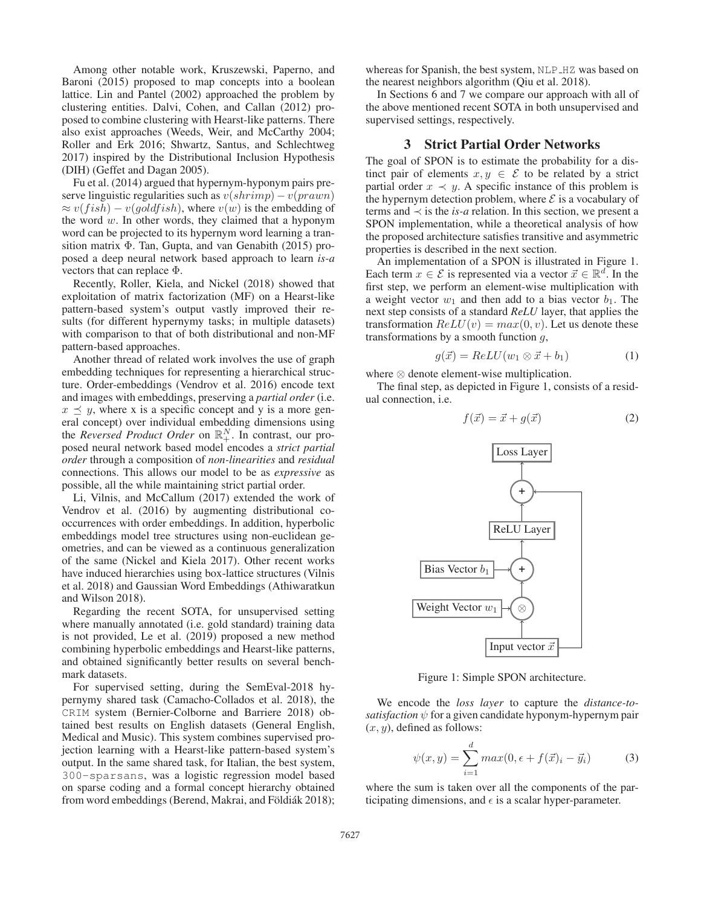Among other notable work, Kruszewski, Paperno, and Baroni (2015) proposed to map concepts into a boolean lattice. Lin and Pantel (2002) approached the problem by clustering entities. Dalvi, Cohen, and Callan (2012) proposed to combine clustering with Hearst-like patterns. There also exist approaches (Weeds, Weir, and McCarthy 2004; Roller and Erk 2016; Shwartz, Santus, and Schlechtweg 2017) inspired by the Distributional Inclusion Hypothesis (DIH) (Geffet and Dagan 2005).

Fu et al. (2014) argued that hypernym-hyponym pairs preserve linguistic regularities such as  $v(shrimp) - v(prawn)$  $\approx v(fish) - v(goldfish)$ , where  $v(w)$  is the embedding of the word  $w$ . In other words, they claimed that a hyponym word can be projected to its hypernym word learning a transition matrix Φ. Tan, Gupta, and van Genabith (2015) proposed a deep neural network based approach to learn *is-a* vectors that can replace Φ.

Recently, Roller, Kiela, and Nickel (2018) showed that exploitation of matrix factorization (MF) on a Hearst-like pattern-based system's output vastly improved their results (for different hypernymy tasks; in multiple datasets) with comparison to that of both distributional and non-MF pattern-based approaches.

Another thread of related work involves the use of graph embedding techniques for representing a hierarchical structure. Order-embeddings (Vendrov et al. 2016) encode text and images with embeddings, preserving a *partial order* (i.e.  $x \leq y$ , where x is a specific concept and y is a more general concept) over individual embedding dimensions using the *Reversed Product Order* on  $\mathbb{R}^N_+$ . In contrast, our proposed neural network based model encodes a *strict partial order* through a composition of *non-linearities* and *residual* connections. This allows our model to be as *expressive* as possible, all the while maintaining strict partial order.

Li, Vilnis, and McCallum (2017) extended the work of Vendrov et al. (2016) by augmenting distributional cooccurrences with order embeddings. In addition, hyperbolic embeddings model tree structures using non-euclidean geometries, and can be viewed as a continuous generalization of the same (Nickel and Kiela 2017). Other recent works have induced hierarchies using box-lattice structures (Vilnis et al. 2018) and Gaussian Word Embeddings (Athiwaratkun and Wilson 2018).

Regarding the recent SOTA, for unsupervised setting where manually annotated (i.e. gold standard) training data is not provided, Le et al. (2019) proposed a new method combining hyperbolic embeddings and Hearst-like patterns, and obtained significantly better results on several benchmark datasets.

For supervised setting, during the SemEval-2018 hypernymy shared task (Camacho-Collados et al. 2018), the CRIM system (Bernier-Colborne and Barriere 2018) obtained best results on English datasets (General English, Medical and Music). This system combines supervised projection learning with a Hearst-like pattern-based system's output. In the same shared task, for Italian, the best system, 300-sparsans, was a logistic regression model based on sparse coding and a formal concept hierarchy obtained from word embeddings (Berend, Makrai, and Földiák 2018);

whereas for Spanish, the best system, NLP\_HZ was based on the nearest neighbors algorithm (Qiu et al. 2018).

In Sections 6 and 7 we compare our approach with all of the above mentioned recent SOTA in both unsupervised and supervised settings, respectively.

# 3 Strict Partial Order Networks

The goal of SPON is to estimate the probability for a distinct pair of elements  $x, y \in \mathcal{E}$  to be related by a strict partial order  $x \prec y$ . A specific instance of this problem is the hypernym detection problem, where  $\mathcal E$  is a vocabulary of terms and  $\prec$  is the *is-a* relation. In this section, we present a SPON implementation, while a theoretical analysis of how the proposed architecture satisfies transitive and asymmetric properties is described in the next section.

An implementation of a SPON is illustrated in Figure 1. Each term  $x \in \mathcal{E}$  is represented via a vector  $\vec{x} \in \mathbb{R}^d$ . In the first step, we perform an element-wise multiplication with a weight vector  $w_1$  and then add to a bias vector  $b_1$ . The next step consists of a standard *ReLU* layer, that applies the transformation  $ReLU(v) = max(0, v)$ . Let us denote these transformations by a smooth function g,

$$
g(\vec{x}) = ReLU(w_1 \otimes \vec{x} + b_1)
$$
 (1)

where ⊗ denote element-wise multiplication.

The final step, as depicted in Figure 1, consists of a residual connection, i.e.

$$
f(\vec{x}) = \vec{x} + g(\vec{x})\tag{2}
$$



Figure 1: Simple SPON architecture.

We encode the *loss layer* to capture the *distance-tosatisfaction*  $\psi$  for a given candidate hyponym-hypernym pair  $(x, y)$ , defined as follows:

$$
\psi(x,y) = \sum_{i=1}^{d} max(0, \epsilon + f(\vec{x})_i - \vec{y}_i)
$$
 (3)

where the sum is taken over all the components of the participating dimensions, and  $\epsilon$  is a scalar hyper-parameter.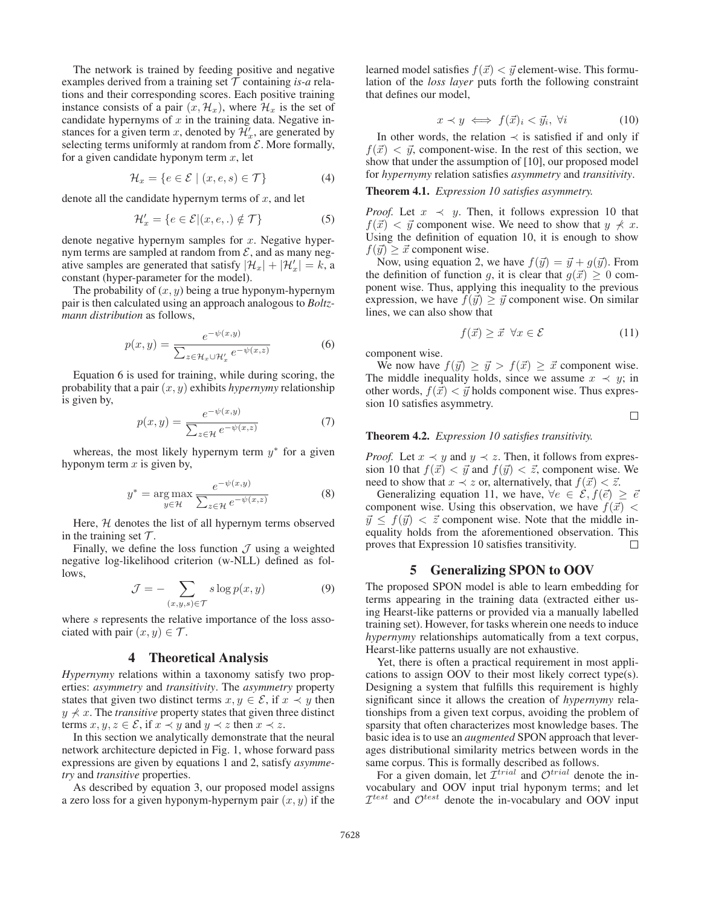The network is trained by feeding positive and negative examples derived from a training set  $T$  containing *is-a* relations and their corresponding scores. Each positive training instance consists of a pair  $(x, \mathcal{H}_x)$ , where  $\mathcal{H}_x$  is the set of candidate hypernyms of  $x$  in the training data. Negative instances for a given term x, denoted by  $\mathcal{H}'_x$ , are generated by selecting terms uniformly at random from  $\mathcal{E}$ . More formally, for a given candidate hyponym term  $x$ , let

$$
\mathcal{H}_x = \{ e \in \mathcal{E} \mid (x, e, s) \in \mathcal{T} \}
$$
 (4)

denote all the candidate hypernym terms of  $x$ , and let

$$
\mathcal{H}'_x = \{ e \in \mathcal{E} | (x, e, .) \notin \mathcal{T} \}
$$
 (5)

denote negative hypernym samples for  $x$ . Negative hypernym terms are sampled at random from  $\mathcal{E}$ , and as many negative samples are generated that satisfy  $|\mathcal{H}_x| + |\mathcal{H}'_x| = k$ , a constant (hyper-narameter for the model) constant (hyper-parameter for the model).

The probability of  $(x, y)$  being a true hyponym-hypernym pair is then calculated using an approach analogous to *Boltzmann distribution* as follows,

$$
p(x,y) = \frac{e^{-\psi(x,y)}}{\sum_{z \in \mathcal{H}_x \cup \mathcal{H}_x'} e^{-\psi(x,z)}}
$$
(6)

Equation 6 is used for training, while during scoring, the probability that a pair  $(x, y)$  exhibits *hypernymy* relationship is given by,

$$
p(x,y) = \frac{e^{-\psi(x,y)}}{\sum_{z \in \mathcal{H}} e^{-\psi(x,z)}}
$$
(7)

whereas, the most likely hypernym term  $y^*$  for a given hyponym term  $x$  is given by,

$$
y^* = \underset{y \in \mathcal{H}}{\arg \max} \frac{e^{-\psi(x,y)}}{\sum_{z \in \mathcal{H}} e^{-\psi(x,z)}}
$$
(8)

Here,  $H$  denotes the list of all hypernym terms observed in the training set  $\mathcal{T}$ .

Finally, we define the loss function  $\mathcal J$  using a weighted negative log-likelihood criterion (w-NLL) defined as follows,

$$
\mathcal{J} = -\sum_{(x,y,s)\in\mathcal{T}} s \log p(x,y) \tag{9}
$$

where s represents the relative importance of the loss associated with pair  $(x, y) \in \mathcal{T}$ .

# 4 Theoretical Analysis

*Hypernymy* relations within a taxonomy satisfy two properties: *asymmetry* and *transitivity*. The *asymmetry* property states that given two distinct terms  $x, y \in \mathcal{E}$ , if  $x \prec y$  then  $y \nless x$ . The *transitive* property states that given three distinct terms  $x, y, z \in \mathcal{E}$ , if  $x \prec y$  and  $y \prec z$  then  $x \prec z$ .

In this section we analytically demonstrate that the neural network architecture depicted in Fig. 1, whose forward pass expressions are given by equations 1 and 2, satisfy *asymmetry* and *transitive* properties.

As described by equation 3, our proposed model assigns a zero loss for a given hyponym-hypernym pair  $(x, y)$  if the

learned model satisfies  $f(\vec{x}) < \vec{y}$  element-wise. This formulation of the *loss layer* puts forth the following constraint lation of the *loss layer* puts forth the following constraint that defines our model,

$$
x \prec y \iff f(\vec{x})_i < \vec{y}_i, \ \forall i \tag{10}
$$

 $x \prec y \iff f(\vec{x})_i < \vec{y}_i$ ,  $\forall i$  (10)<br>In other words, the relation  $\prec$  is satisfied if and only if  $f(\vec{x}) < \vec{y}$ , component-wise. In the rest of this section, we show that under the assumption of [10] our proposed model show that under the assumption of [10], our proposed model for *hypernymy* relation satisfies *asymmetry* and *transitivity*.

#### Theorem 4.1. *Expression 10 satisfies asymmetry.*

*Proof.* Let  $x \prec y$ . Then, it follows expression 10 that  $f(\vec{x}) < \vec{y}$  component wise. We need to show that  $y \nless x$ .<br>Using the definition of equation 10 it is enough to show Using the definition of equation 10, it is enough to show  $f(\vec{y}) \geq \vec{x}$  component wise.<br>Now using equation 2.

Now, using equation 2, we have  $f(\vec{y}) = \vec{y} + g(\vec{y})$ . From<br>edefinition of function q it is clear that  $g(\vec{x}) > 0$  comthe definition of function g, it is clear that  $g(\vec{x}) \geq 0$  com-<br>ponent wise. Thus, applying this inequality to the previous ponent wise. Thus, applying this inequality to the previous expression, we have  $f(\vec{y}) \geq \vec{y}$  component wise. On similar lines we can also show that lines, we can also show that

$$
f(\vec{x}) \ge \vec{x} \ \forall x \in \mathcal{E} \tag{11}
$$

component wise.

We now have  $f(\vec{y}) \geq \vec{y} > f(\vec{x}) \geq \vec{x}$  component wise.<br>le middle inequality holds since we assume  $x \prec y$  in The middle inequality holds, since we assume  $x \prec y$ ; in other words,  $f(\vec{x}) < \vec{y}$  holds component wise. Thus expres-<br>sion 10 satisfies asymmetry sion 10 satisfies asymmetry.

 $\Box$ 

### Theorem 4.2. *Expression 10 satisfies transitivity.*

*Proof.* Let  $x \prec y$  and  $y \prec z$ . Then, it follows from expression 10 that  $f(\vec{x}) < \vec{y}$  and  $f(\vec{y}) < \vec{z}$ , component wise. We need to show that  $x \prec z$  or alternatively that  $f(\vec{x}) < \vec{z}$ need to show that  $x \prec z$  or, alternatively, that  $f(\vec{x}) < \vec{z}$ .<br>Generalizing equation 11 we have  $\forall e \in \mathcal{E}$ ,  $f(\vec{e})$ .

Generalizing equation 11, we have,  $\forall e \in \mathcal{E}, f(\vec{e}) \ge \vec{e}$ <br>mponent wise. Using this observation, we have  $f(\vec{r}) <$ component wise. Using this observation, we have  $f(\vec{x}) < \vec{v} < f(\vec{n}) < \vec{z}$  component wise. Note that the middle in- $\vec{y} \leq f(\vec{y}) < \vec{z}$  component wise. Note that the middle in-<br>equality holds from the aforementioned observation. This equality holds from the aforementioned observation. This proves that Expression 10 satisfies transitivity. П

# 5 Generalizing SPON to OOV

The proposed SPON model is able to learn embedding for terms appearing in the training data (extracted either using Hearst-like patterns or provided via a manually labelled training set). However, for tasks wherein one needs to induce *hypernymy* relationships automatically from a text corpus, Hearst-like patterns usually are not exhaustive.

Yet, there is often a practical requirement in most applications to assign OOV to their most likely correct type(s). Designing a system that fulfills this requirement is highly significant since it allows the creation of *hypernymy* relationships from a given text corpus, avoiding the problem of sparsity that often characterizes most knowledge bases. The basic idea is to use an *augmented* SPON approach that leverages distributional similarity metrics between words in the same corpus. This is formally described as follows.

For a given domain, let  $\mathcal{I}^{trial}$  and  $\mathcal{O}^{trial}$  denote the invocabulary and OOV input trial hyponym terms; and let  $\mathcal{I}^{test}$  and  $\mathcal{O}^{test}$  denote the in-vocabulary and OOV input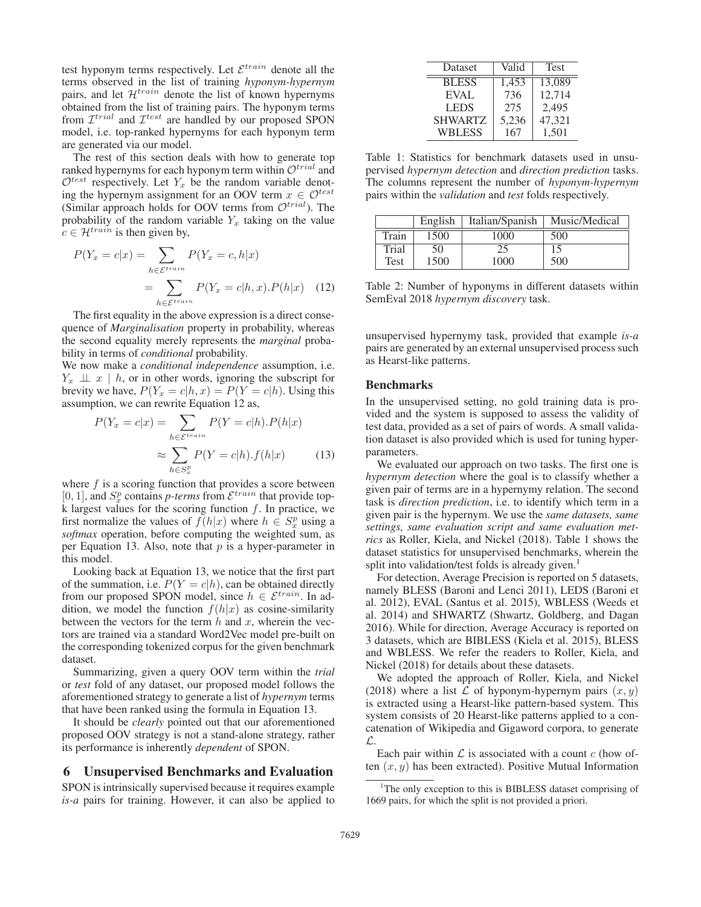test hyponym terms respectively. Let  $\mathcal{E}^{train}$  denote all the terms observed in the list of training *hyponym-hypernym* pairs, and let  $\mathcal{H}^{train}$  denote the list of known hypernyms obtained from the list of training pairs. The hyponym terms from  $\mathcal{I}^{trial}$  and  $\mathcal{I}^{test}$  are handled by our proposed SPON model, i.e. top-ranked hypernyms for each hyponym term are generated via our model.

The rest of this section deals with how to generate top ranked hypernyms for each hyponym term within  $\mathcal{O}^{trial}$  and  $\mathcal{O}^{test}$  respectively. Let  $Y_x$  be the random variable denoting the hypernym assignment for an OOV term  $x \in \mathcal{O}^{test}$ (Similar approach holds for OOV terms from  $\mathcal{O}^{trial}$ ). The probability of the random variable  $Y_x$  taking on the value  $c \in \mathcal{H}^{train}$  is then given by,

$$
P(Y_x = c|x) = \sum_{h \in \mathcal{E}^{train}} P(Y_x = c, h|x)
$$

$$
= \sum_{h \in \mathcal{E}^{train}} P(Y_x = c|h, x). P(h|x) \quad (12)
$$

The first equality in the above expression is a direct consequence of *Marginalisation* property in probability, whereas the second equality merely represents the *marginal* probability in terms of *conditional* probability.

We now make a *conditional independence* assumption, i.e.  $Y_x \perp x \mid h$ , or in other words, ignoring the subscript for brevity we have,  $P(Y_x = c | h, x) = P(Y = c | h)$ . Using this assumption, we can rewrite Equation 12 as,

$$
P(Y_x = c|x) = \sum_{h \in \mathcal{E}^{train}} P(Y = c|h).P(h|x)
$$

$$
\approx \sum_{h \in S_x^p} P(Y = c|h).f(h|x) \tag{13}
$$

where  $f$  is a scoring function that provides a score between [0, 1], and  $S_x^p$  contains *p-terms* from  $\mathcal{E}^{train}$  that provide top-<br>k largest values for the scoring function f. In practice, we k largest values for the scoring function  $f$ . In practice, we first normalize the values of  $f(h|x)$  where  $h \in S_x^n$  using a softmax operation before computing the weighted sum as *softmax* operation, before computing the weighted sum, as per Equation 13. Also, note that  $p$  is a hyper-parameter in this model.

Looking back at Equation 13, we notice that the first part of the summation, i.e.  $P(Y = c|h)$ , can be obtained directly from our proposed SPON model, since  $h \in \mathcal{E}^{train}$ . In addition, we model the function  $f(h|x)$  as cosine-similarity between the vectors for the term  $h$  and  $x$ , wherein the vectors are trained via a standard Word2Vec model pre-built on the corresponding tokenized corpus for the given benchmark dataset.

Summarizing, given a query OOV term within the *trial* or *test* fold of any dataset, our proposed model follows the aforementioned strategy to generate a list of *hypernym* terms that have been ranked using the formula in Equation 13.

It should be *clearly* pointed out that our aforementioned proposed OOV strategy is not a stand-alone strategy, rather its performance is inherently *dependent* of SPON.

# 6 Unsupervised Benchmarks and Evaluation

SPON is intrinsically supervised because it requires example *is-a* pairs for training. However, it can also be applied to

| Valid | <b>Test</b> |
|-------|-------------|
| 1,453 | 13,089      |
|       | 12,714      |
| 275   | 2,495       |
| 5,236 | 47,321      |
| 167   | 1,501       |
|       | 736         |

Table 1: Statistics for benchmark datasets used in unsupervised *hypernym detection* and *direction prediction* tasks. The columns represent the number of *hyponym-hypernym* pairs within the *validation* and *test* folds respectively.

|       | English | Italian/Spanish | Music/Medical |
|-------|---------|-----------------|---------------|
| Train | 1500    | 1000            | 500           |
| Trial | 50      | 25              | 15            |
| Test  | 1500    | 1000            | 500           |

Table 2: Number of hyponyms in different datasets within SemEval 2018 *hypernym discovery* task.

unsupervised hypernymy task, provided that example *is-a* pairs are generated by an external unsupervised process such as Hearst-like patterns.

#### Benchmarks

In the unsupervised setting, no gold training data is provided and the system is supposed to assess the validity of test data, provided as a set of pairs of words. A small validation dataset is also provided which is used for tuning hyperparameters.

We evaluated our approach on two tasks. The first one is *hypernym detection* where the goal is to classify whether a given pair of terms are in a hypernymy relation. The second task is *direction prediction*, i.e. to identify which term in a given pair is the hypernym. We use the *same datasets, same settings, same evaluation script and same evaluation metrics* as Roller, Kiela, and Nickel (2018). Table 1 shows the dataset statistics for unsupervised benchmarks, wherein the split into validation/test folds is already given.<sup>1</sup>

For detection, Average Precision is reported on 5 datasets, namely BLESS (Baroni and Lenci 2011), LEDS (Baroni et al. 2012), EVAL (Santus et al. 2015), WBLESS (Weeds et al. 2014) and SHWARTZ (Shwartz, Goldberg, and Dagan 2016). While for direction, Average Accuracy is reported on 3 datasets, which are BIBLESS (Kiela et al. 2015), BLESS and WBLESS. We refer the readers to Roller, Kiela, and Nickel (2018) for details about these datasets.

We adopted the approach of Roller, Kiela, and Nickel (2018) where a list  $\mathcal L$  of hyponym-hypernym pairs  $(x, y)$ is extracted using a Hearst-like pattern-based system. This system consists of 20 Hearst-like patterns applied to a concatenation of Wikipedia and Gigaword corpora, to generate L.

Each pair within  $\mathcal L$  is associated with a count  $c$  (how often  $(x, y)$  has been extracted). Positive Mutual Information

<sup>&</sup>lt;sup>1</sup>The only exception to this is BIBLESS dataset comprising of 1669 pairs, for which the split is not provided a priori.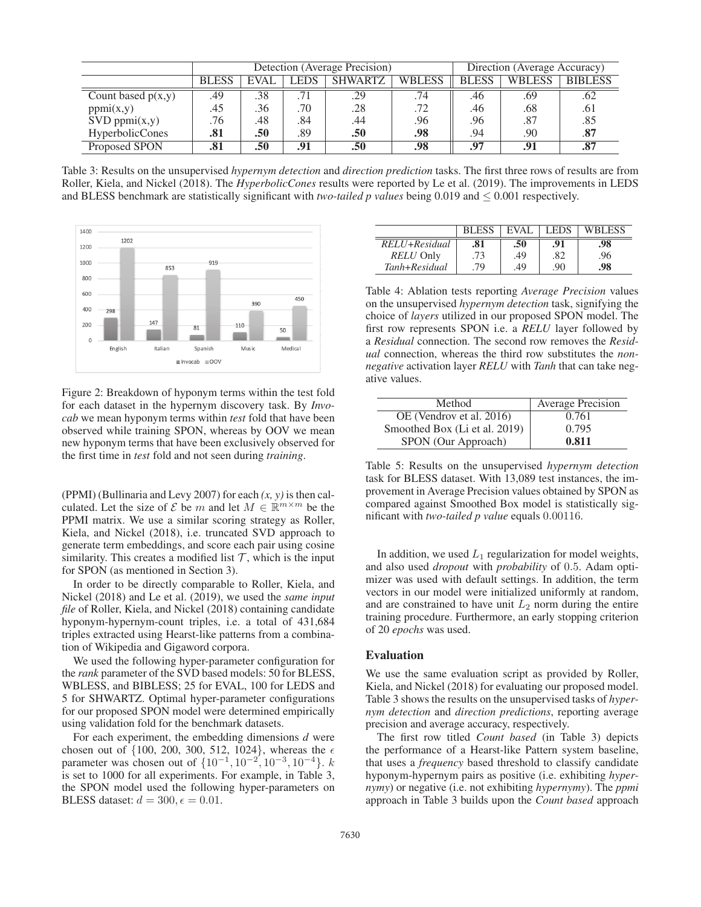|                      | Detection (Average Precision) |             |             |                |               | Direction (Average Accuracy) |        |                |  |
|----------------------|-------------------------------|-------------|-------------|----------------|---------------|------------------------------|--------|----------------|--|
|                      | <b>BLESS</b>                  | <b>EVAL</b> | <b>LEDS</b> | <b>SHWARTZ</b> | <b>WBLESS</b> | <b>BLESS</b>                 | WBLESS | <b>BIBLESS</b> |  |
| Count based $p(x,y)$ | .49                           | .38         |             | .29            | .74           | .46                          | .69    | .62            |  |
| ppmi(x,y)            | .45                           | .36         | .70         | .28            | .72           | .46                          | .68    | .61            |  |
| $SVD$ ppmi $(x,y)$   | .76                           | .48         | .84         | .44            | .96           | .96                          | .87    | .85            |  |
| HyperbolicCones      | .81                           | .50         | .89         | .50            | .98           | .94                          | .90    | .87            |  |
| Proposed SPON        | .81                           | .50         | .91         | .50            | .98           | .97                          | .91    | .87            |  |

Table 3: Results on the unsupervised *hypernym detection* and *direction prediction* tasks. The first three rows of results are from Roller, Kiela, and Nickel (2018). The *HyperbolicCones* results were reported by Le et al. (2019). The improvements in LEDS and BLESS benchmark are statistically significant with *two-tailed p values* being 0.019 and  $\leq 0.001$  respectively.



Figure 2: Breakdown of hyponym terms within the test fold for each dataset in the hypernym discovery task. By *Invocab* we mean hyponym terms within *test* fold that have been observed while training SPON, whereas by OOV we mean new hyponym terms that have been exclusively observed for the first time in *test* fold and not seen during *training*.

(PPMI) (Bullinaria and Levy 2007) for each *(x, y)* is then calculated. Let the size of  $\mathcal E$  be m and let  $M \in \mathbb R^{m \times m}$  be the PPMI matrix. We use a similar scoring strategy as Roller, Kiela, and Nickel (2018), i.e. truncated SVD approach to generate term embeddings, and score each pair using cosine similarity. This creates a modified list  $\mathcal T$ , which is the input for SPON (as mentioned in Section 3).

In order to be directly comparable to Roller, Kiela, and Nickel (2018) and Le et al. (2019), we used the *same input file* of Roller, Kiela, and Nickel (2018) containing candidate hyponym-hypernym-count triples, i.e. a total of 431,684 triples extracted using Hearst-like patterns from a combination of Wikipedia and Gigaword corpora.

We used the following hyper-parameter configuration for the *rank* parameter of the SVD based models: 50 for BLESS, WBLESS, and BIBLESS; 25 for EVAL, 100 for LEDS and 5 for SHWARTZ. Optimal hyper-parameter configurations for our proposed SPON model were determined empirically using validation fold for the benchmark datasets.

For each experiment, the embedding dimensions *d* were chosen out of  $\{100, 200, 300, 512, 1024\}$ , whereas the  $\epsilon$ parameter was chosen out of  $\{10^{-1}, 10^{-2}, 10^{-3}, 10^{-4}\}$ .  $k$ <br>is set to 1000 for all experiments. For example, in Table 3. is set to 1000 for all experiments. For example, in Table 3, the SPON model used the following hyper-parameters on BLESS dataset:  $d = 300, \epsilon = 0.01$ .

|                  | <b>BLESS</b> | EVAL. | LEDS. | <b>WBLESS</b> |
|------------------|--------------|-------|-------|---------------|
| RELU+Residual    | .81          | .50   | .91   | .98           |
| <b>RELU Only</b> | .73          | .49   | .82   | .96           |
| Tanh+Residual    | 79           | .49   | .90   | .98           |

Table 4: Ablation tests reporting *Average Precision* values on the unsupervised *hypernym detection* task, signifying the choice of *layers* utilized in our proposed SPON model. The first row represents SPON i.e. a *RELU* layer followed by a *Residual* connection. The second row removes the *Residual* connection, whereas the third row substitutes the *nonnegative* activation layer *RELU* with *Tanh* that can take negative values.

| Method                        | <b>Average Precision</b> |
|-------------------------------|--------------------------|
| OE (Vendrov et al. 2016)      | 0.761                    |
| Smoothed Box (Li et al. 2019) | 0.795                    |
| SPON (Our Approach)           | 0.811                    |

Table 5: Results on the unsupervised *hypernym detection* task for BLESS dataset. With 13,089 test instances, the improvement in Average Precision values obtained by SPON as compared against Smoothed Box model is statistically significant with *two-tailed p value* equals 0.00116.

In addition, we used  $L_1$  regularization for model weights, and also used *dropout* with *probability* of 0.5. Adam optimizer was used with default settings. In addition, the term vectors in our model were initialized uniformly at random, and are constrained to have unit  $L_2$  norm during the entire training procedure. Furthermore, an early stopping criterion of 20 *epochs* was used.

### Evaluation

We use the same evaluation script as provided by Roller, Kiela, and Nickel (2018) for evaluating our proposed model. Table 3 shows the results on the unsupervised tasks of *hypernym detection* and *direction predictions*, reporting average precision and average accuracy, respectively.

The first row titled *Count based* (in Table 3) depicts the performance of a Hearst-like Pattern system baseline, that uses a *frequency* based threshold to classify candidate hyponym-hypernym pairs as positive (i.e. exhibiting *hypernymy*) or negative (i.e. not exhibiting *hypernymy*). The *ppmi* approach in Table 3 builds upon the *Count based* approach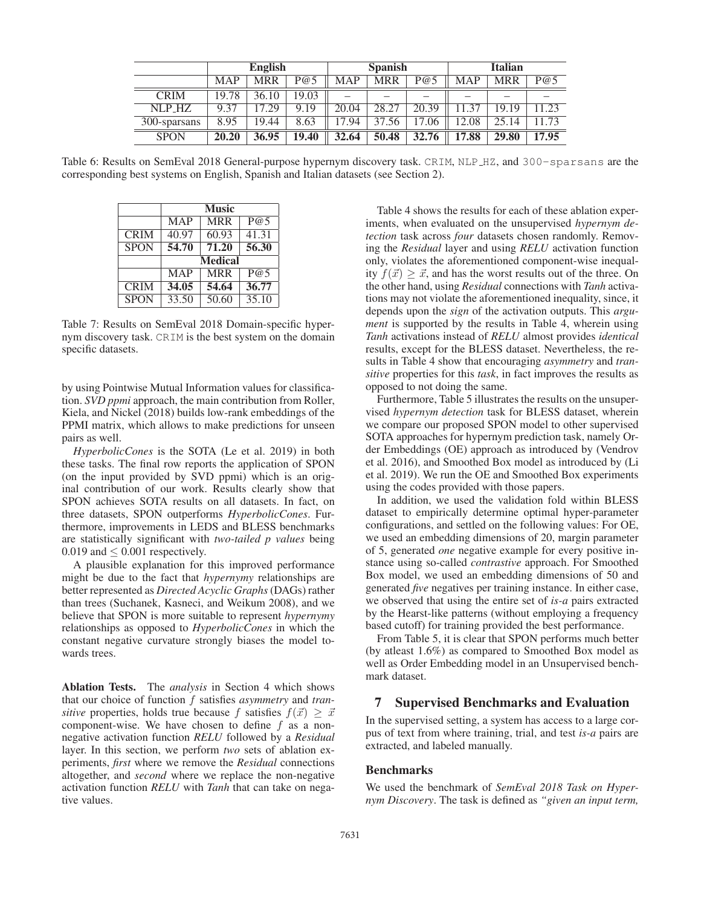|              | <b>English</b> |            |          |            | <b>Spanish</b> |                          | <b>Italian</b> |       |       |
|--------------|----------------|------------|----------|------------|----------------|--------------------------|----------------|-------|-------|
|              | <b>MAP</b>     | <b>MRR</b> | P@5      | <b>MAP</b> | <b>MRR</b>     | P@5                      | <b>MAP</b>     | MRR   | P@5   |
| <b>CRIM</b>  | 19.78          | 36.10      | 19.03    |            | _              | $\overline{\phantom{a}}$ | -              | -     |       |
| NLP HZ       | 9.37           | 7.29       | .19<br>Q | 20.04      | 28.27          | 20.39                    | 37             | 19.19 | 1.23  |
| 300-sparsans | 8.95           | 19.44      | 8.63     | 7.94       | .56<br>37.     | 17.06                    | 12.08          | 25.14 | 1.73  |
| <b>SPON</b>  | 20.20          | 36.95      | 19.40    | 32.64      | 50.48          | 32.76                    | 17.88          | 29.80 | 17.95 |

Table 6: Results on SemEval 2018 General-purpose hypernym discovery task. CRIM, NLP HZ, and 300-sparsans are the corresponding best systems on English, Spanish and Italian datasets (see Section 2).

|             |                    | <b>Music</b>       |                    |  |  |
|-------------|--------------------|--------------------|--------------------|--|--|
|             | <b>MAP</b>         | <b>MRR</b>         | P@5                |  |  |
| <b>CRIM</b> | 40.97              | 60.93              | $41.\overline{31}$ |  |  |
| <b>SPON</b> | 54.70              | 71,20              | 56.30              |  |  |
|             | <b>Medical</b>     |                    |                    |  |  |
|             | <b>MAP</b>         | <b>MRR</b>         | P@5                |  |  |
| <b>CRIM</b> | 34.05              | 54.64              | 36.77              |  |  |
| <b>SPON</b> | $33.\overline{50}$ | $\overline{50.60}$ | 35.10              |  |  |

Table 7: Results on SemEval 2018 Domain-specific hypernym discovery task. CRIM is the best system on the domain specific datasets.

by using Pointwise Mutual Information values for classification. *SVD ppmi* approach, the main contribution from Roller, Kiela, and Nickel (2018) builds low-rank embeddings of the PPMI matrix, which allows to make predictions for unseen pairs as well.

*HyperbolicCones* is the SOTA (Le et al. 2019) in both these tasks. The final row reports the application of SPON (on the input provided by SVD ppmi) which is an original contribution of our work. Results clearly show that SPON achieves SOTA results on all datasets. In fact, on three datasets, SPON outperforms *HyperbolicCones*. Furthermore, improvements in LEDS and BLESS benchmarks are statistically significant with *two-tailed p values* being 0.019 and  $\leq$  0.001 respectively.

A plausible explanation for this improved performance might be due to the fact that *hypernymy* relationships are better represented as *Directed Acyclic Graphs*(DAGs) rather than trees (Suchanek, Kasneci, and Weikum 2008), and we believe that SPON is more suitable to represent *hypernymy* relationships as opposed to *HyperbolicCones* in which the constant negative curvature strongly biases the model towards trees.

Ablation Tests. The *analysis* in Section 4 which shows that our choice of function f satisfies *asymmetry* and *transitive* properties, holds true because f satisfies  $f(\vec{x}) \geq \vec{x}$ <br>component-wise. We have chosen to define f as a noncomponent-wise. We have chosen to define  $f$  as a nonnegative activation function *RELU* followed by a *Residual* layer. In this section, we perform *two* sets of ablation experiments, *first* where we remove the *Residual* connections altogether, and *second* where we replace the non-negative activation function *RELU* with *Tanh* that can take on negative values.

Table 4 shows the results for each of these ablation experiments, when evaluated on the unsupervised *hypernym detection* task across *four* datasets chosen randomly. Removing the *Residual* layer and using *RELU* activation function only, violates the aforementioned component-wise inequality  $f(\vec{x}) \geq \vec{x}$ , and has the worst results out of the three. On<br>the other hand using *Residual* connections with *Tanh* activathe other hand, using *Residual* connections with *Tanh* activations may not violate the aforementioned inequality, since, it depends upon the *sign* of the activation outputs. This *argument* is supported by the results in Table 4, wherein using *Tanh* activations instead of *RELU* almost provides *identical* results, except for the BLESS dataset. Nevertheless, the results in Table 4 show that encouraging *asymmetry* and *transitive* properties for this *task*, in fact improves the results as opposed to not doing the same.

Furthermore, Table 5 illustrates the results on the unsupervised *hypernym detection* task for BLESS dataset, wherein we compare our proposed SPON model to other supervised SOTA approaches for hypernym prediction task, namely Order Embeddings (OE) approach as introduced by (Vendrov et al. 2016), and Smoothed Box model as introduced by (Li et al. 2019). We run the OE and Smoothed Box experiments using the codes provided with those papers.

In addition, we used the validation fold within BLESS dataset to empirically determine optimal hyper-parameter configurations, and settled on the following values: For OE, we used an embedding dimensions of 20, margin parameter of 5, generated *one* negative example for every positive instance using so-called *contrastive* approach. For Smoothed Box model, we used an embedding dimensions of 50 and generated *five* negatives per training instance. In either case, we observed that using the entire set of *is-a* pairs extracted by the Hearst-like patterns (without employing a frequency based cutoff) for training provided the best performance.

From Table 5, it is clear that SPON performs much better (by atleast 1.6%) as compared to Smoothed Box model as well as Order Embedding model in an Unsupervised benchmark dataset.

# 7 Supervised Benchmarks and Evaluation

In the supervised setting, a system has access to a large corpus of text from where training, trial, and test *is-a* pairs are extracted, and labeled manually.

# Benchmarks

We used the benchmark of *SemEval 2018 Task on Hypernym Discovery*. The task is defined as *"given an input term,*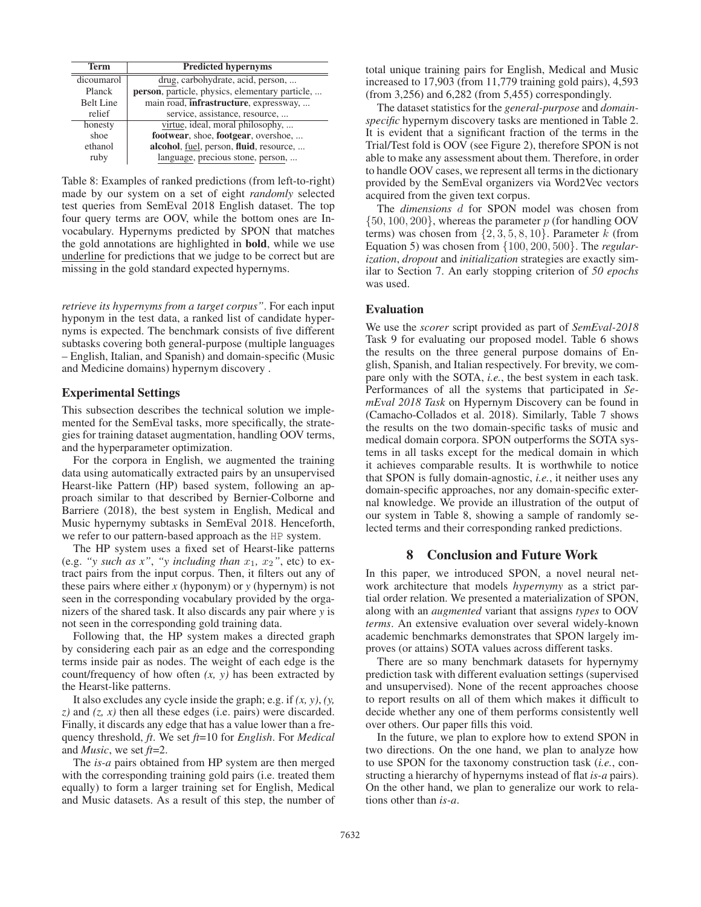| Term             | <b>Predicted hypernyms</b>                      |
|------------------|-------------------------------------------------|
| dicoumarol       | drug, carbohydrate, acid, person,               |
| Planck           | person, particle, physics, elementary particle, |
| <b>Belt Line</b> | main road, infrastructure, expressway,          |
| relief           | service, assistance, resource,                  |
| honesty          | virtue, ideal, moral philosophy,                |
| shoe             | footwear, shoe, footgear, overshoe,             |
| ethanol          | alcohol, fuel, person, fluid, resource,         |
| ruby             | language, precious stone, person,               |

Table 8: Examples of ranked predictions (from left-to-right) made by our system on a set of eight *randomly* selected test queries from SemEval 2018 English dataset. The top four query terms are OOV, while the bottom ones are Invocabulary. Hypernyms predicted by SPON that matches the gold annotations are highlighted in bold, while we use underline for predictions that we judge to be correct but are missing in the gold standard expected hypernyms.

*retrieve its hypernyms from a target corpus"*. For each input hyponym in the test data, a ranked list of candidate hypernyms is expected. The benchmark consists of five different subtasks covering both general-purpose (multiple languages – English, Italian, and Spanish) and domain-specific (Music and Medicine domains) hypernym discovery .

# Experimental Settings

This subsection describes the technical solution we implemented for the SemEval tasks, more specifically, the strategies for training dataset augmentation, handling OOV terms, and the hyperparameter optimization.

For the corpora in English, we augmented the training data using automatically extracted pairs by an unsupervised Hearst-like Pattern (HP) based system, following an approach similar to that described by Bernier-Colborne and Barriere (2018), the best system in English, Medical and Music hypernymy subtasks in SemEval 2018. Henceforth, we refer to our pattern-based approach as the HP system.

The HP system uses a fixed set of Hearst-like patterns (e.g. "y such as x", "y including than  $x_1$ ,  $x_2$ ", etc) to extract pairs from the input corpus. Then, it filters out any of these pairs where either *x* (hyponym) or *y* (hypernym) is not seen in the corresponding vocabulary provided by the organizers of the shared task. It also discards any pair where *y* is not seen in the corresponding gold training data.

Following that, the HP system makes a directed graph by considering each pair as an edge and the corresponding terms inside pair as nodes. The weight of each edge is the count/frequency of how often *(x, y)* has been extracted by the Hearst-like patterns.

It also excludes any cycle inside the graph; e.g. if *(x, y)*, *(y, z)* and *(z, x)* then all these edges (i.e. pairs) were discarded. Finally, it discards any edge that has a value lower than a frequency threshold, *ft*. We set *ft*=10 for *English*. For *Medical* and *Music*, we set *ft*=2.

The *is-a* pairs obtained from HP system are then merged with the corresponding training gold pairs (i.e. treated them equally) to form a larger training set for English, Medical and Music datasets. As a result of this step, the number of

total unique training pairs for English, Medical and Music increased to 17,903 (from 11,779 training gold pairs), 4,593 (from 3,256) and 6,282 (from 5,455) correspondingly.

The dataset statistics for the *general-purpose* and *domainspecific* hypernym discovery tasks are mentioned in Table 2. It is evident that a significant fraction of the terms in the Trial/Test fold is OOV (see Figure 2), therefore SPON is not able to make any assessment about them. Therefore, in order to handle OOV cases, we represent all terms in the dictionary provided by the SemEval organizers via Word2Vec vectors acquired from the given text corpus.

The *dimensions* d for SPON model was chosen from  $\{50, 100, 200\}$ , whereas the parameter p (for handling OOV terms) was chosen from  $\{2, 3, 5, 8, 10\}$ . Parameter k (from Equation 5) was chosen from {100, 200, 500}. The *regularization*, *dropout* and *initialization* strategies are exactly similar to Section 7. An early stopping criterion of *50 epochs* was used.

# Evaluation

We use the *scorer* script provided as part of *SemEval-2018* Task 9 for evaluating our proposed model. Table 6 shows the results on the three general purpose domains of English, Spanish, and Italian respectively. For brevity, we compare only with the SOTA, *i.e.*, the best system in each task. Performances of all the systems that participated in *SemEval 2018 Task* on Hypernym Discovery can be found in (Camacho-Collados et al. 2018). Similarly, Table 7 shows the results on the two domain-specific tasks of music and medical domain corpora. SPON outperforms the SOTA systems in all tasks except for the medical domain in which it achieves comparable results. It is worthwhile to notice that SPON is fully domain-agnostic, *i.e.*, it neither uses any domain-specific approaches, nor any domain-specific external knowledge. We provide an illustration of the output of our system in Table 8, showing a sample of randomly selected terms and their corresponding ranked predictions.

# 8 Conclusion and Future Work

In this paper, we introduced SPON, a novel neural network architecture that models *hypernymy* as a strict partial order relation. We presented a materialization of SPON, along with an *augmented* variant that assigns *types* to OOV *terms*. An extensive evaluation over several widely-known academic benchmarks demonstrates that SPON largely improves (or attains) SOTA values across different tasks.

There are so many benchmark datasets for hypernymy prediction task with different evaluation settings (supervised and unsupervised). None of the recent approaches choose to report results on all of them which makes it difficult to decide whether any one of them performs consistently well over others. Our paper fills this void.

In the future, we plan to explore how to extend SPON in two directions. On the one hand, we plan to analyze how to use SPON for the taxonomy construction task (*i.e.*, constructing a hierarchy of hypernyms instead of flat *is-a* pairs). On the other hand, we plan to generalize our work to relations other than *is-a*.